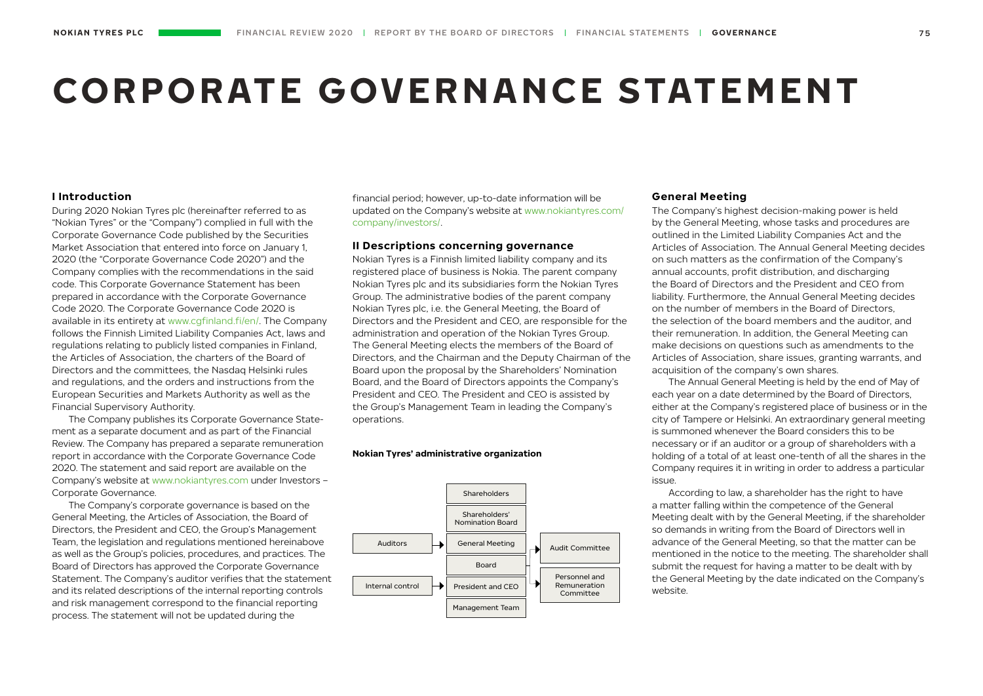# **CORPORATE GOVERNANCE STATEMENT**

# **I Introduction**

During 2020 Nokian Tyres plc (hereinafter referred to as "Nokian Tyres" or the "Company") complied in full with the Corporate Governance Code published by the Securities Market Association that entered into force on January 1, 2020 (the "Corporate Governance Code 2020") and the Company complies with the recommendations in the said code. This Corporate Governance Statement has been prepared in accordance with the Corporate Governance Code 2020. The Corporate Governance Code 2020 is available in its entirety at [www.cgfinland.fi/en/.](https://cgfinland.fi/en/) The Company follows the Finnish Limited Liability Companies Act, laws and regulations relating to publicly listed companies in Finland, the Articles of Association, the charters of the Board of Directors and the committees, the Nasdaq Helsinki rules and regulations, and the orders and instructions from the European Securities and Markets Authority as well as the Financial Supervisory Authority.

The Company publishes its Corporate Governance Statement as a separate document and as part of the Financial Review. The Company has prepared a separate remuneration report in accordance with the Corporate Governance Code 2020. The statement and said report are available on the Company's website at [www.nokiantyres.com](https://www.nokiantyres.com/company/investors/corporate-governance/) under Investors – Corporate Governance.

The Company's corporate governance is based on the General Meeting, the Articles of Association, the Board of Directors, the President and CEO, the Group's Management Team, the legislation and regulations mentioned hereinabove as well as the Group's policies, procedures, and practices. The Board of Directors has approved the Corporate Governance Statement. The Company's auditor verifies that the statement and its related descriptions of the internal reporting controls and risk management correspond to the financial reporting process. The statement will not be updated during the

financial period; however, up-to-date information will be updated on the Company's website at [www.nokiantyres.com/](https://www.nokiantyres.com/company/investors/corporate-governance/) [company/investors/](https://www.nokiantyres.com/company/investors/corporate-governance/).

## **II Descriptions concerning governance**

Nokian Tyres is a Finnish limited liability company and its registered place of business is Nokia. The parent company Nokian Tyres plc and its subsidiaries form the Nokian Tyres Group. The administrative bodies of the parent company Nokian Tyres plc, i.e. the General Meeting, the Board of Directors and the President and CEO, are responsible for the administration and operation of the Nokian Tyres Group. The General Meeting elects the members of the Board of Directors, and the Chairman and the Deputy Chairman of the Board upon the proposal by the Shareholders' Nomination Board, and the Board of Directors appoints the Company's President and CEO. The President and CEO is assisted by the Group's Management Team in leading the Company's operations.

#### **Nokian Tyres' administrative organization**



## **General Meeting**

The Company's highest decision-making power is held by the General Meeting, whose tasks and procedures are outlined in the Limited Liability Companies Act and the Articles of Association. The Annual General Meeting decides on such matters as the confirmation of the Company's annual accounts, profit distribution, and discharging the Board of Directors and the President and CEO from liability. Furthermore, the Annual General Meeting decides on the number of members in the Board of Directors, the selection of the board members and the auditor, and their remuneration. In addition, the General Meeting can make decisions on questions such as amendments to the Articles of Association, share issues, granting warrants, and acquisition of the company's own shares.

The Annual General Meeting is held by the end of May of each year on a date determined by the Board of Directors, either at the Company's registered place of business or in the city of Tampere or Helsinki. An extraordinary general meeting is summoned whenever the Board considers this to be necessary or if an auditor or a group of shareholders with a holding of a total of at least one-tenth of all the shares in the Company requires it in writing in order to address a particular issue.

According to law, a shareholder has the right to have a matter falling within the competence of the General Meeting dealt with by the General Meeting, if the shareholder so demands in writing from the Board of Directors well in advance of the General Meeting, so that the matter can be mentioned in the notice to the meeting. The shareholder shall submit the request for having a matter to be dealt with by the General Meeting by the date indicated on the Company's website.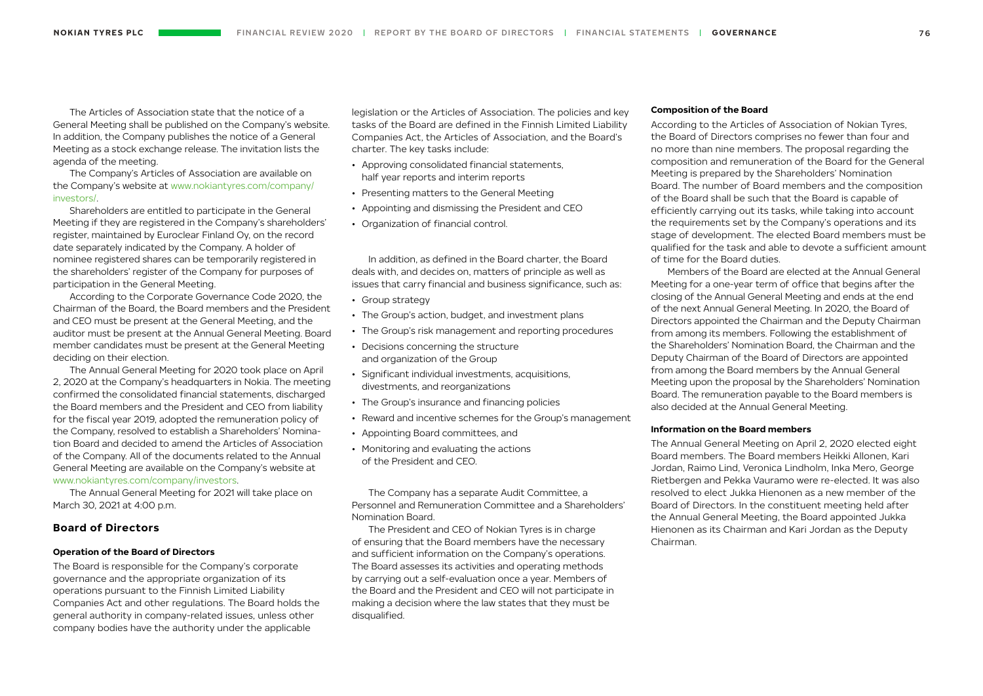The Articles of Association state that the notice of a General Meeting shall be published on the Company's website. In addition, the Company publishes the notice of a General Meeting as a stock exchange release. The invitation lists the agenda of the meeting.

The Company's Articles of Association are available on the Company's website at [www.nokiantyres.com/company/](https://www.nokiantyres.com/company/investors/corporate-governance/articles-of-association/) [investors/.](https://www.nokiantyres.com/company/investors/corporate-governance/articles-of-association/)

Shareholders are entitled to participate in the General Meeting if they are registered in the Company's shareholders' register, maintained by Euroclear Finland Oy, on the record date separately indicated by the Company. A holder of nominee registered shares can be temporarily registered in the shareholders' register of the Company for purposes of participation in the General Meeting.

According to the Corporate Governance Code 2020, the Chairman of the Board, the Board members and the President and CEO must be present at the General Meeting, and the auditor must be present at the Annual General Meeting. Board member candidates must be present at the General Meeting deciding on their election.

The Annual General Meeting for 2020 took place on April 2, 2020 at the Company's headquarters in Nokia. The meeting confirmed the consolidated financial statements, discharged the Board members and the President and CEO from liability for the fiscal year 2019, adopted the remuneration policy of the Company, resolved to establish a Shareholders' Nomination Board and decided to amend the Articles of Association of the Company. All of the documents related to the Annual General Meeting are available on the Company's website at [www.nokiantyres.com/company/investors.](https://www.nokiantyres.com/company/investors/ir-services/ir-calendar/annual-general-meetings/)

The Annual General Meeting for 2021 will take place on March 30, 2021 at 4:00 p.m.

# **Board of Directors**

# **Operation of the Board of Directors**

The Board is responsible for the Company's corporate governance and the appropriate organization of its operations pursuant to the Finnish Limited Liability Companies Act and other regulations. The Board holds the general authority in company-related issues, unless other company bodies have the authority under the applicable

legislation or the Articles of Association. The policies and key tasks of the Board are defined in the Finnish Limited Liability Companies Act, the Articles of Association, and the Board's charter. The key tasks include:

- Approving consolidated financial statements, half year reports and interim reports
- Presenting matters to the General Meeting
- Appointing and dismissing the President and CEO
- Organization of financial control.

In addition, as defined in the Board charter, the Board deals with, and decides on, matters of principle as well as issues that carry financial and business significance, such as:

- Group strategy
- The Group's action, budget, and investment plans
- The Group's risk management and reporting procedures
- Decisions concerning the structure and organization of the Group
- Significant individual investments, acquisitions, divestments, and reorganizations
- The Group's insurance and financing policies
- Reward and incentive schemes for the Group's management
- Appointing Board committees, and
- Monitoring and evaluating the actions of the President and CEO.

The Company has a separate Audit Committee, a Personnel and Remuneration Committee and a Shareholders' Nomination Board.

The President and CEO of Nokian Tyres is in charge of ensuring that the Board members have the necessary and sufficient information on the Company's operations. The Board assesses its activities and operating methods by carrying out a self-evaluation once a year. Members of the Board and the President and CEO will not participate in making a decision where the law states that they must be disqualified.

#### **Composition of the Board**

According to the Articles of Association of Nokian Tyres, the Board of Directors comprises no fewer than four and no more than nine members. The proposal regarding the composition and remuneration of the Board for the General Meeting is prepared by the Shareholders' Nomination Board. The number of Board members and the composition of the Board shall be such that the Board is capable of efficiently carrying out its tasks, while taking into account the requirements set by the Company's operations and its stage of development. The elected Board members must be qualified for the task and able to devote a sufficient amount of time for the Board duties.

Members of the Board are elected at the Annual General Meeting for a one-year term of office that begins after the closing of the Annual General Meeting and ends at the end of the next Annual General Meeting. In 2020, the Board of Directors appointed the Chairman and the Deputy Chairman from among its members. Following the establishment of the Shareholders' Nomination Board, the Chairman and the Deputy Chairman of the Board of Directors are appointed from among the Board members by the Annual General Meeting upon the proposal by the Shareholders' Nomination Board. The remuneration payable to the Board members is also decided at the Annual General Meeting.

# **Information on the Board members**

The Annual General Meeting on April 2, 2020 elected eight Board members. The Board members Heikki Allonen, Kari Jordan, Raimo Lind, Veronica Lindholm, Inka Mero, George Rietbergen and Pekka Vauramo were re-elected. It was also resolved to elect Jukka Hienonen as a new member of the Board of Directors. In the constituent meeting held after the Annual General Meeting, the Board appointed Jukka Hienonen as its Chairman and Kari Jordan as the Deputy Chairman.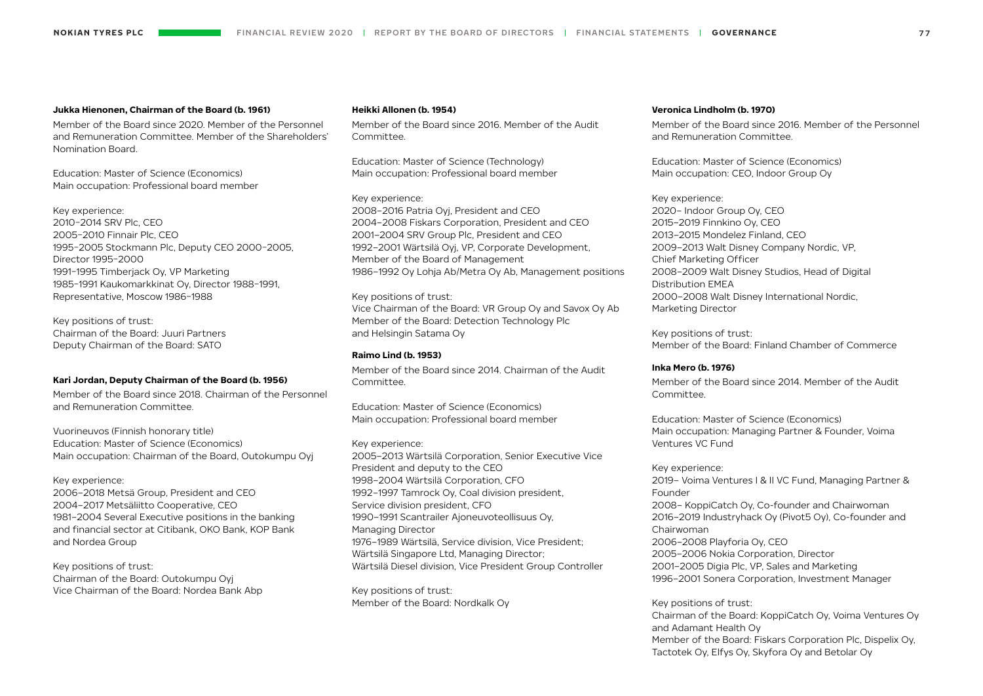#### **Jukka Hienonen, Chairman of the Board (b. 1961)**

Member of the Board since 2020. Member of the Personnel and Remuneration Committee. Member of the Shareholders' Nomination Board.

Education: Master of Science (Economics) Main occupation: Professional board member

Key experience: 2010−2014 SRV Plc, CEO 2005−2010 Finnair Plc, CEO 1995−2005 Stockmann Plc, Deputy CEO 2000−2005, Director 1995−2000 1991−1995 Timberjack Oy, VP Marketing 1985−1991 Kaukomarkkinat Oy, Director 1988−1991, Representative, Moscow 1986−1988

Key positions of trust: Chairman of the Board: Juuri Partners Deputy Chairman of the Board: SATO

# **Kari Jordan, Deputy Chairman of the Board (b. 1956)**

Member of the Board since 2018. Chairman of the Personnel and Remuneration Committee.

Vuorineuvos (Finnish honorary title) Education: Master of Science (Economics) Main occupation: Chairman of the Board, Outokumpu Oyj

Key experience: 2006–2018 Metsä Group, President and CEO 2004–2017 Metsäliitto Cooperative, CEO 1981–2004 Several Executive positions in the banking and financial sector at Citibank, OKO Bank, KOP Bank and Nordea Group

Key positions of trust: Chairman of the Board: Outokumpu Oyj Vice Chairman of the Board: Nordea Bank Abp

#### **Heikki Allonen (b. 1954)**

Member of the Board since 2016. Member of the Audit Committee.

Education: Master of Science (Technology) Main occupation: Professional board member

Key experience: 2008–2016 Patria Oyj, President and CEO 2004–2008 Fiskars Corporation, President and CEO 2001–2004 SRV Group Plc, President and CEO 1992–2001 Wärtsilä Oyj, VP, Corporate Development, Member of the Board of Management 1986–1992 Oy Lohja Ab/Metra Oy Ab, Management positions

Key positions of trust: Vice Chairman of the Board: VR Group Oy and Savox Oy Ab Member of the Board: Detection Technology Plc and Helsingin Satama Oy

# **Raimo Lind (b. 1953)**

Member of the Board since 2014. Chairman of the Audit Committee.

Education: Master of Science (Economics) Main occupation: Professional board member

Key experience: 2005–2013 Wärtsilä Corporation, Senior Executive Vice President and deputy to the CEO 1998–2004 Wärtsilä Corporation, CFO 1992–1997 Tamrock Oy, Coal division president, Service division president, CFO 1990–1991 Scantrailer Ajoneuvoteollisuus Oy, Managing Director 1976–1989 Wärtsilä, Service division, Vice President; Wärtsilä Singapore Ltd, Managing Director; Wärtsilä Diesel division, Vice President Group Controller

Key positions of trust: Member of the Board: Nordkalk Oy

#### **Veronica Lindholm (b. 1970)**

Member of the Board since 2016. Member of the Personnel and Remuneration Committee.

Education: Master of Science (Economics) Main occupation: CEO, Indoor Group Oy

Key experience: 2020– Indoor Group Oy, CEO 2015–2019 Finnkino Oy, CEO 2013–2015 Mondelez Finland, CEO 2009–2013 Walt Disney Company Nordic, VP, Chief Marketing Officer 2008–2009 Walt Disney Studios, Head of Digital Distribution EMEA 2000–2008 Walt Disney International Nordic, Marketing Director

Key positions of trust: Member of the Board: Finland Chamber of Commerce

## **Inka Mero (b. 1976)**

Member of the Board since 2014. Member of the Audit Committee.

Education: Master of Science (Economics) Main occupation: Managing Partner & Founder, Voima Ventures VC Fund

Key experience: 2019– Voima Ventures I & II VC Fund, Managing Partner & Founder 2008– KoppiCatch Oy, Co-founder and Chairwoman 2016–2019 Industryhack Oy (Pivot5 Oy), Co-founder and Chairwoman 2006–2008 Playforia Oy, CEO 2005–2006 Nokia Corporation, Director 2001–2005 Digia Plc, VP, Sales and Marketing 1996–2001 Sonera Corporation, Investment Manager

Key positions of trust: Chairman of the Board: KoppiCatch Oy, Voima Ventures Oy and Adamant Health Oy Member of the Board: Fiskars Corporation Plc, Dispelix Oy, Tactotek Oy, Elfys Oy, Skyfora Oy and Betolar Oy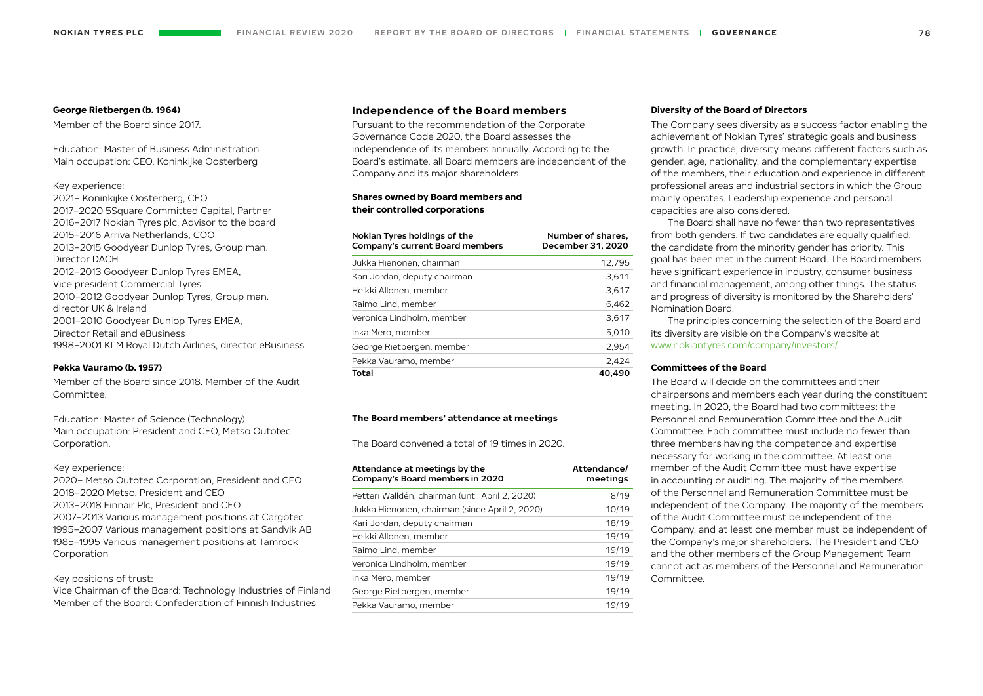#### **George Rietbergen (b. 1964)**

Member of the Board since 2017.

Education: Master of Business Administration Main occupation: CEO, Koninkijke Oosterberg

# Key experience:

2021– Koninkijke Oosterberg, CEO 2017–2020 5Square Committed Capital, Partner 2016–2017 Nokian Tyres plc, Advisor to the board 2015–2016 Arriva Netherlands, COO 2013–2015 Goodyear Dunlop Tyres, Group man. Director DACH 2012–2013 Goodyear Dunlop Tyres EMEA, Vice president Commercial Tyres 2010–2012 Goodyear Dunlop Tyres, Group man. director UK & Ireland 2001–2010 Goodyear Dunlop Tyres EMEA, Director Retail and eBusiness 1998–2001 KLM Royal Dutch Airlines, director eBusiness

## **Pekka Vauramo (b. 1957)**

Member of the Board since 2018. Member of the Audit Committee.

Education: Master of Science (Technology) Main occupation: President and CEO, Metso Outotec Corporation,

## Key experience:

2020– Metso Outotec Corporation, President and CEO 2018–2020 Metso, President and CEO 2013–2018 Finnair Plc, President and CEO 2007–2013 Various management positions at Cargotec 1995–2007 Various management positions at Sandvik AB 1985–1995 Various management positions at Tamrock Corporation

# Key positions of trust:

Vice Chairman of the Board: Technology Industries of Finland Member of the Board: Confederation of Finnish Industries

# **Independence of the Board members**

Pursuant to the recommendation of the Corporate Governance Code 2020, the Board assesses the independence of its members annually. According to the Board's estimate, all Board members are independent of the Company and its major shareholders.

# **Shares owned by Board members and their controlled corporations**

| Nokian Tyres holdings of the<br>Company's current Board members | Number of shares,<br>December 31, 2020 |
|-----------------------------------------------------------------|----------------------------------------|
| Jukka Hienonen, chairman                                        | 12.795                                 |
| Kari Jordan, deputy chairman                                    | 3.611                                  |
| Heikki Allonen, member                                          | 3.617                                  |
| Raimo Lind, member                                              | 6.462                                  |
| Veronica Lindholm, member                                       | 3,617                                  |
| Inka Mero, member                                               | 5.010                                  |
| George Rietbergen, member                                       | 2.954                                  |
| Pekka Vauramo, member                                           | 2.424                                  |
| Total                                                           | 40.490                                 |

#### **The Board members' attendance at meetings**

The Board convened a total of 19 times in 2020.

| Attendance at meetings by the<br>Company's Board members in 2020 | Attendance/<br>meetings |
|------------------------------------------------------------------|-------------------------|
| Petteri Walldén, chairman (until April 2, 2020)                  | 8/19                    |
| Jukka Hienonen, chairman (since April 2, 2020)                   | 10/19                   |
| Kari Jordan, deputy chairman                                     | 18/19                   |
| Heikki Allonen, member                                           | 19/19                   |
| Raimo Lind, member                                               | 19/19                   |
| Veronica Lindholm, member                                        | 19/19                   |
| Inka Mero, member                                                | 19/19                   |
| George Rietbergen, member                                        | 19/19                   |
| Pekka Vauramo, member                                            | 19/19                   |

#### **Diversity of the Board of Directors**

The Company sees diversity as a success factor enabling the achievement of Nokian Tyres' strategic goals and business growth. In practice, diversity means different factors such as gender, age, nationality, and the complementary expertise of the members, their education and experience in different professional areas and industrial sectors in which the Group mainly operates. Leadership experience and personal capacities are also considered.

The Board shall have no fewer than two representatives from both genders. If two candidates are equally qualified, the candidate from the minority gender has priority. This goal has been met in the current Board. The Board members have significant experience in industry, consumer business and financial management, among other things. The status and progress of diversity is monitored by the Shareholders' Nomination Board.

The principles concerning the selection of the Board and its diversity are visible on the Company's website at [www.nokiantyres.com/company/investors/.](https://www.nokiantyres.com/company/investors/corporate-governance/board-of-directors/)

# **Committees of the Board**

The Board will decide on the committees and their chairpersons and members each year during the constituent meeting. In 2020, the Board had two committees: the Personnel and Remuneration Committee and the Audit Committee. Each committee must include no fewer than three members having the competence and expertise necessary for working in the committee. At least one member of the Audit Committee must have expertise in accounting or auditing. The majority of the members of the Personnel and Remuneration Committee must be independent of the Company. The majority of the members of the Audit Committee must be independent of the Company, and at least one member must be independent of the Company's major shareholders. The President and CEO and the other members of the Group Management Team cannot act as members of the Personnel and Remuneration Committee.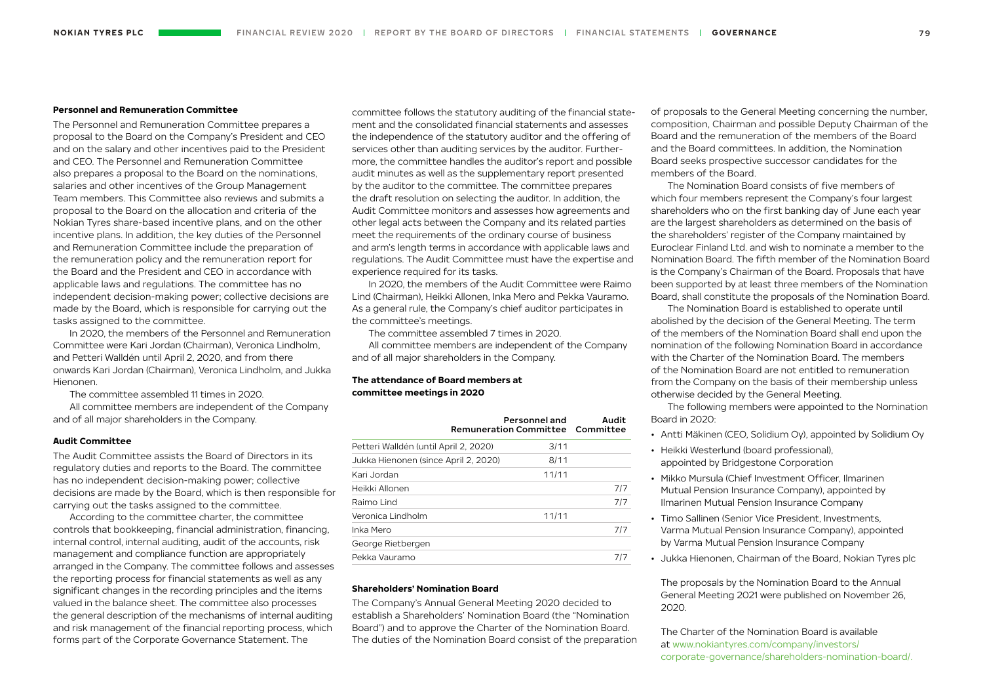# **Personnel and Remuneration Committee**

The Personnel and Remuneration Committee prepares a proposal to the Board on the Company's President and CEO and on the salary and other incentives paid to the President and CEO. The Personnel and Remuneration Committee also prepares a proposal to the Board on the nominations, salaries and other incentives of the Group Management Team members. This Committee also reviews and submits a proposal to the Board on the allocation and criteria of the Nokian Tyres share-based incentive plans, and on the other incentive plans. In addition, the key duties of the Personnel and Remuneration Committee include the preparation of the remuneration policy and the remuneration report for the Board and the President and CEO in accordance with applicable laws and regulations. The committee has no independent decision-making power; collective decisions are made by the Board, which is responsible for carrying out the tasks assigned to the committee.

In 2020, the members of the Personnel and Remuneration Committee were Kari Jordan (Chairman), Veronica Lindholm, and Petteri Walldén until April 2, 2020, and from there onwards Kari Jordan (Chairman), Veronica Lindholm, and Jukka Hienonen.

The committee assembled 11 times in 2020.

All committee members are independent of the Company and of all major shareholders in the Company.

## **Audit Committee**

The Audit Committee assists the Board of Directors in its regulatory duties and reports to the Board. The committee has no independent decision-making power; collective decisions are made by the Board, which is then responsible for carrying out the tasks assigned to the committee.

According to the committee charter, the committee controls that bookkeeping, financial administration, financing, internal control, internal auditing, audit of the accounts, risk management and compliance function are appropriately arranged in the Company. The committee follows and assesses the reporting process for financial statements as well as any significant changes in the recording principles and the items valued in the balance sheet. The committee also processes the general description of the mechanisms of internal auditing and risk management of the financial reporting process, which forms part of the Corporate Governance Statement. The

committee follows the statutory auditing of the financial statement and the consolidated financial statements and assesses the independence of the statutory auditor and the offering of services other than auditing services by the auditor. Furthermore, the committee handles the auditor's report and possible audit minutes as well as the supplementary report presented by the auditor to the committee. The committee prepares the draft resolution on selecting the auditor. In addition, the Audit Committee monitors and assesses how agreements and other legal acts between the Company and its related parties meet the requirements of the ordinary course of business and arm's length terms in accordance with applicable laws and regulations. The Audit Committee must have the expertise and experience required for its tasks.

In 2020, the members of the Audit Committee were Raimo Lind (Chairman), Heikki Allonen, Inka Mero and Pekka Vauramo. As a general rule, the Company's chief auditor participates in the committee's meetings.

The committee assembled 7 times in 2020. All committee members are independent of the Company and of all major shareholders in the Company.

# **The attendance of Board members at committee meetings in 2020**

|                                       | Personnel and<br>Remuneration Committee Committee | Audit |
|---------------------------------------|---------------------------------------------------|-------|
| Petteri Walldén (until April 2, 2020) | 3/11                                              |       |
| Jukka Hienonen (since April 2, 2020)  | 8/11                                              |       |
| Kari Jordan                           | 11/11                                             |       |
| Heikki Allonen                        |                                                   | 717   |
| Raimo Lind                            |                                                   | 717   |
| Veronica Lindholm                     | 11/11                                             |       |
| Inka Mero                             |                                                   | 717   |
| George Rietbergen                     |                                                   |       |
| Pekka Vauramo                         |                                                   | 717   |

## **Shareholders' Nomination Board**

The Company's Annual General Meeting 2020 decided to establish a Shareholders' Nomination Board (the "Nomination Board") and to approve the Charter of the Nomination Board. The duties of the Nomination Board consist of the preparation of proposals to the General Meeting concerning the number, composition, Chairman and possible Deputy Chairman of the Board and the remuneration of the members of the Board and the Board committees. In addition, the Nomination Board seeks prospective successor candidates for the members of the Board.

The Nomination Board consists of five members of which four members represent the Company's four largest shareholders who on the first banking day of June each year are the largest shareholders as determined on the basis of the shareholders' register of the Company maintained by Euroclear Finland Ltd. and wish to nominate a member to the Nomination Board. The fifth member of the Nomination Board is the Company's Chairman of the Board. Proposals that have been supported by at least three members of the Nomination Board, shall constitute the proposals of the Nomination Board.

The Nomination Board is established to operate until abolished by the decision of the General Meeting. The term of the members of the Nomination Board shall end upon the nomination of the following Nomination Board in accordance with the Charter of the Nomination Board. The members of the Nomination Board are not entitled to remuneration from the Company on the basis of their membership unless otherwise decided by the General Meeting.

The following members were appointed to the Nomination Board in 2020:

- Antti Mäkinen (CEO, Solidium Oy), appointed by Solidium Oy
- Heikki Westerlund (board professional), appointed by Bridgestone Corporation
- Mikko Mursula (Chief Investment Officer, Ilmarinen Mutual Pension Insurance Company), appointed by Ilmarinen Mutual Pension Insurance Company
- Timo Sallinen (Senior Vice President, Investments, Varma Mutual Pension Insurance Company), appointed by Varma Mutual Pension Insurance Company
- Jukka Hienonen, Chairman of the Board, Nokian Tyres plc

The proposals by the Nomination Board to the Annual General Meeting 2021 were published on November 26, 2020.

The Charter of the Nomination Board is available at [www.nokiantyres.com/company/investors/](https://www.nokiantyres.com/company/investors/corporate-governance/shareholders-nomination-board/) [corporate-governance/shareholders-nomination-board/.](https://www.nokiantyres.com/company/investors/corporate-governance/shareholders-nomination-board/)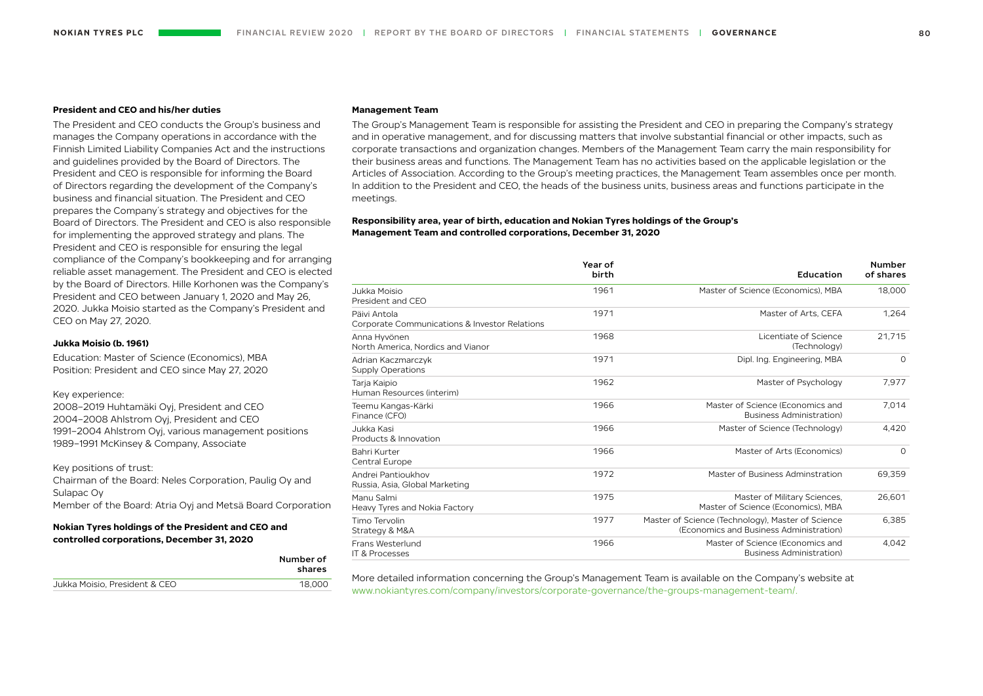# **President and CEO and his/her duties**

The President and CEO conducts the Group's business and manages the Company operations in accordance with the Finnish Limited Liability Companies Act and the instructions and guidelines provided by the Board of Directors. The President and CEO is responsible for informing the Board of Directors regarding the development of the Company's business and financial situation. The President and CEO prepares the Company´s strategy and objectives for the Board of Directors. The President and CEO is also responsible for implementing the approved strategy and plans. The President and CEO is responsible for ensuring the legal compliance of the Company's bookkeeping and for arranging reliable asset management. The President and CEO is elected by the Board of Directors. Hille Korhonen was the Company's President and CEO between January 1, 2020 and May 26, 2020. Jukka Moisio started as the Company's President and CEO on May 27, 2020.

#### **Jukka Moisio (b. 1961)**

Education: Master of Science (Economics), MBA Position: President and CEO since May 27, 2020

#### Key experience:

2008–2019 Huhtamäki Oyj, President and CEO 2004–2008 Ahlstrom Oyj, President and CEO 1991–2004 Ahlstrom Oyj, various management positions 1989–1991 McKinsey & Company, Associate

## Key positions of trust:

Chairman of the Board: Neles Corporation, Paulig Oy and Sulapac Oy Member of the Board: Atria Oyj and Metsä Board Corporation

# **Nokian Tyres holdings of the President and CEO and controlled corporations, December 31, 2020**

|                               | Number of<br>shares |
|-------------------------------|---------------------|
| Jukka Moisio, President & CEO | 18.000              |
|                               |                     |

#### **Management Team**

The Group's Management Team is responsible for assisting the President and CEO in preparing the Company's strategy and in operative management, and for discussing matters that involve substantial financial or other impacts, such as corporate transactions and organization changes. Members of the Management Team carry the main responsibility for their business areas and functions. The Management Team has no activities based on the applicable legislation or the Articles of Association. According to the Group's meeting practices, the Management Team assembles once per month. In addition to the President and CEO, the heads of the business units, business areas and functions participate in the meetings.

# **Responsibility area, year of birth, education and Nokian Tyres holdings of the Group's Management Team and controlled corporations, December 31, 2020**

|                                                               | Year of<br>birth | Education                                                                                    | <b>Number</b><br>of shares |
|---------------------------------------------------------------|------------------|----------------------------------------------------------------------------------------------|----------------------------|
| Jukka Moisio<br>President and CEO                             | 1961             | Master of Science (Economics), MBA                                                           | 18,000                     |
| Päivi Antola<br>Corporate Communications & Investor Relations | 1971             | Master of Arts, CEFA                                                                         | 1,264                      |
| Anna Hyvönen<br>North America, Nordics and Vianor             | 1968             | Licentiate of Science<br>(Technology)                                                        | 21.715                     |
| Adrian Kaczmarczyk<br><b>Supply Operations</b>                | 1971             | Dipl. Ing. Engineering, MBA                                                                  | $\Omega$                   |
| Tarja Kaipio<br>Human Resources (interim)                     | 1962             | Master of Psychology                                                                         | 7,977                      |
| Teemu Kangas-Kärki<br>Finance (CFO)                           | 1966             | Master of Science (Economics and<br><b>Business Administration)</b>                          | 7,014                      |
| Jukka Kasi<br>Products & Innovation                           | 1966             | Master of Science (Technology)                                                               | 4.420                      |
| Bahri Kurter<br>Central Europe                                | 1966             | Master of Arts (Economics)                                                                   | $\Omega$                   |
| Andrei Pantioukhov<br>Russia, Asia, Global Marketing          | 1972             | Master of Business Adminstration                                                             | 69.359                     |
| Manu Salmi<br>Heavy Tyres and Nokia Factory                   | 1975             | Master of Military Sciences,<br>Master of Science (Economics), MBA                           | 26,601                     |
| Timo Tervolin<br>Strategy & M&A                               | 1977             | Master of Science (Technology), Master of Science<br>(Economics and Business Administration) | 6,385                      |
| Frans Westerlund<br><b>IT &amp; Processes</b>                 | 1966             | Master of Science (Economics and<br><b>Business Administration)</b>                          | 4,042                      |

More detailed information concerning the Group's Management Team is available on the Company's website at [www.nokiantyres.com/company/investors/corporate-governance/the-groups-management-team/](https://www.nokiantyres.com/company/investors/corporate-governance/the-groups-management-team/).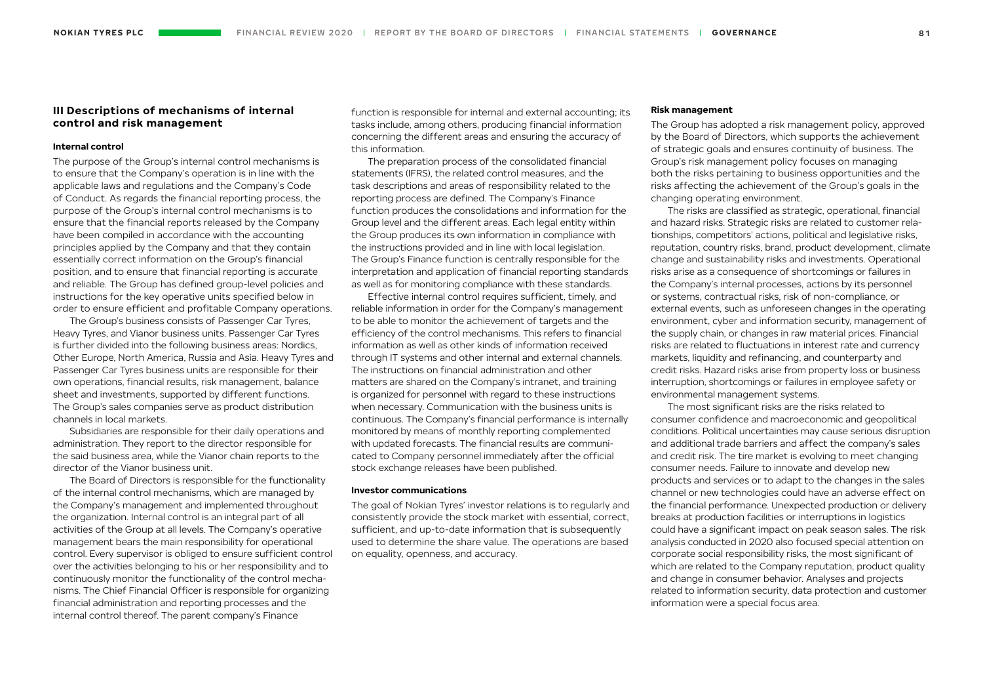# **III Descriptions of mechanisms of internal control and risk management**

## **Internal control**

The purpose of the Group's internal control mechanisms is to ensure that the Company's operation is in line with the applicable laws and regulations and the Company's Code of Conduct. As regards the financial reporting process, the purpose of the Group's internal control mechanisms is to ensure that the financial reports released by the Company have been compiled in accordance with the accounting principles applied by the Company and that they contain essentially correct information on the Group's financial position, and to ensure that financial reporting is accurate and reliable. The Group has defined group-level policies and instructions for the key operative units specified below in order to ensure efficient and profitable Company operations.

The Group's business consists of Passenger Car Tyres, Heavy Tyres, and Vianor business units. Passenger Car Tyres is further divided into the following business areas: Nordics, Other Europe, North America, Russia and Asia. Heavy Tyres and Passenger Car Tyres business units are responsible for their own operations, financial results, risk management, balance sheet and investments, supported by different functions. The Group's sales companies serve as product distribution channels in local markets.

Subsidiaries are responsible for their daily operations and administration. They report to the director responsible for the said business area, while the Vianor chain reports to the director of the Vianor business unit.

The Board of Directors is responsible for the functionality of the internal control mechanisms, which are managed by the Company's management and implemented throughout the organization. Internal control is an integral part of all activities of the Group at all levels. The Company's operative management bears the main responsibility for operational control. Every supervisor is obliged to ensure sufficient control over the activities belonging to his or her responsibility and to continuously monitor the functionality of the control mechanisms. The Chief Financial Officer is responsible for organizing financial administration and reporting processes and the internal control thereof. The parent company's Finance

function is responsible for internal and external accounting; its tasks include, among others, producing financial information concerning the different areas and ensuring the accuracy of this information.

The preparation process of the consolidated financial statements (IFRS), the related control measures, and the task descriptions and areas of responsibility related to the reporting process are defined. The Company's Finance function produces the consolidations and information for the Group level and the different areas. Each legal entity within the Group produces its own information in compliance with the instructions provided and in line with local legislation. The Group's Finance function is centrally responsible for the interpretation and application of financial reporting standards as well as for monitoring compliance with these standards.

Effective internal control requires sufficient, timely, and reliable information in order for the Company's management to be able to monitor the achievement of targets and the efficiency of the control mechanisms. This refers to financial information as well as other kinds of information received through IT systems and other internal and external channels. The instructions on financial administration and other matters are shared on the Company's intranet, and training is organized for personnel with regard to these instructions when necessary. Communication with the business units is continuous. The Company's financial performance is internally monitored by means of monthly reporting complemented with updated forecasts. The financial results are communicated to Company personnel immediately after the official stock exchange releases have been published.

# **Investor communications**

The goal of Nokian Tyres' investor relations is to regularly and consistently provide the stock market with essential, correct, sufficient, and up-to-date information that is subsequently used to determine the share value. The operations are based on equality, openness, and accuracy.

#### **Risk management**

The Group has adopted a risk management policy, approved by the Board of Directors, which supports the achievement of strategic goals and ensures continuity of business. The Group's risk management policy focuses on managing both the risks pertaining to business opportunities and the risks affecting the achievement of the Group's goals in the changing operating environment.

The risks are classified as strategic, operational, financial and hazard risks. Strategic risks are related to customer relationships, competitors' actions, political and legislative risks, reputation, country risks, brand, product development, climate change and sustainability risks and investments. Operational risks arise as a consequence of shortcomings or failures in the Company's internal processes, actions by its personnel or systems, contractual risks, risk of non-compliance, or external events, such as unforeseen changes in the operating environment, cyber and information security, management of the supply chain, or changes in raw material prices. Financial risks are related to fluctuations in interest rate and currency markets, liquidity and refinancing, and counterparty and credit risks. Hazard risks arise from property loss or business interruption, shortcomings or failures in employee safety or environmental management systems.

The most significant risks are the risks related to consumer confidence and macroeconomic and geopolitical conditions. Political uncertainties may cause serious disruption and additional trade barriers and affect the company's sales and credit risk. The tire market is evolving to meet changing consumer needs. Failure to innovate and develop new products and services or to adapt to the changes in the sales channel or new technologies could have an adverse effect on the financial performance. Unexpected production or delivery breaks at production facilities or interruptions in logistics could have a significant impact on peak season sales. The risk analysis conducted in 2020 also focused special attention on corporate social responsibility risks, the most significant of which are related to the Company reputation, product quality and change in consumer behavior. Analyses and projects related to information security, data protection and customer information were a special focus area.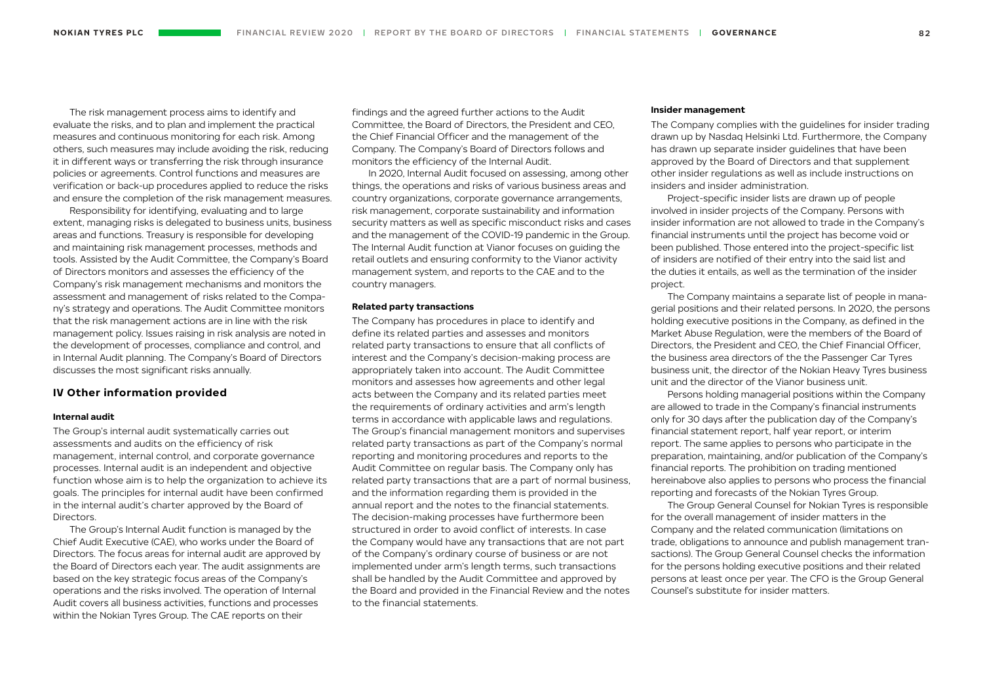The risk management process aims to identify and evaluate the risks, and to plan and implement the practical measures and continuous monitoring for each risk. Among others, such measures may include avoiding the risk, reducing it in different ways or transferring the risk through insurance policies or agreements. Control functions and measures are verification or back-up procedures applied to reduce the risks and ensure the completion of the risk management measures.

Responsibility for identifying, evaluating and to large extent, managing risks is delegated to business units, business areas and functions. Treasury is responsible for developing and maintaining risk management processes, methods and tools. Assisted by the Audit Committee, the Company's Board of Directors monitors and assesses the efficiency of the Company's risk management mechanisms and monitors the assessment and management of risks related to the Company's strategy and operations. The Audit Committee monitors that the risk management actions are in line with the risk management policy. Issues raising in risk analysis are noted in the development of processes, compliance and control, and in Internal Audit planning. The Company's Board of Directors discusses the most significant risks annually.

# **IV Other information provided**

## **Internal audit**

The Group's internal audit systematically carries out assessments and audits on the efficiency of risk management, internal control, and corporate governance processes. Internal audit is an independent and objective function whose aim is to help the organization to achieve its goals. The principles for internal audit have been confirmed in the internal audit's charter approved by the Board of Directors.

The Group's Internal Audit function is managed by the Chief Audit Executive (CAE), who works under the Board of Directors. The focus areas for internal audit are approved by the Board of Directors each year. The audit assignments are based on the key strategic focus areas of the Company's operations and the risks involved. The operation of Internal Audit covers all business activities, functions and processes within the Nokian Tyres Group. The CAE reports on their

findings and the agreed further actions to the Audit Committee, the Board of Directors, the President and CEO, the Chief Financial Officer and the management of the Company. The Company's Board of Directors follows and monitors the efficiency of the Internal Audit.

In 2020, Internal Audit focused on assessing, among other things, the operations and risks of various business areas and country organizations, corporate governance arrangements, risk management, corporate sustainability and information security matters as well as specific misconduct risks and cases and the management of the COVID-19 pandemic in the Group. The Internal Audit function at Vianor focuses on guiding the retail outlets and ensuring conformity to the Vianor activity management system, and reports to the CAE and to the country managers.

#### **Related party transactions**

The Company has procedures in place to identify and define its related parties and assesses and monitors related party transactions to ensure that all conflicts of interest and the Company's decision-making process are appropriately taken into account. The Audit Committee monitors and assesses how agreements and other legal acts between the Company and its related parties meet the requirements of ordinary activities and arm's length terms in accordance with applicable laws and regulations. The Group's financial management monitors and supervises related party transactions as part of the Company's normal reporting and monitoring procedures and reports to the Audit Committee on regular basis. The Company only has related party transactions that are a part of normal business, and the information regarding them is provided in the annual report and the notes to the financial statements. The decision-making processes have furthermore been structured in order to avoid conflict of interests. In case the Company would have any transactions that are not part of the Company's ordinary course of business or are not implemented under arm's length terms, such transactions shall be handled by the Audit Committee and approved by the Board and provided in the Financial Review and the notes to the financial statements.

#### **Insider management**

The Company complies with the guidelines for insider trading drawn up by Nasdaq Helsinki Ltd. Furthermore, the Company has drawn up separate insider guidelines that have been approved by the Board of Directors and that supplement other insider regulations as well as include instructions on insiders and insider administration.

Project-specific insider lists are drawn up of people involved in insider projects of the Company. Persons with insider information are not allowed to trade in the Company's financial instruments until the project has become void or been published. Those entered into the project-specific list of insiders are notified of their entry into the said list and the duties it entails, as well as the termination of the insider project.

The Company maintains a separate list of people in managerial positions and their related persons. In 2020, the persons holding executive positions in the Company, as defined in the Market Abuse Regulation, were the members of the Board of Directors, the President and CEO, the Chief Financial Officer, the business area directors of the the Passenger Car Tyres business unit, the director of the Nokian Heavy Tyres business unit and the director of the Vianor business unit.

Persons holding managerial positions within the Company are allowed to trade in the Company's financial instruments only for 30 days after the publication day of the Company's financial statement report, half year report, or interim report. The same applies to persons who participate in the preparation, maintaining, and/or publication of the Company's financial reports. The prohibition on trading mentioned hereinabove also applies to persons who process the financial reporting and forecasts of the Nokian Tyres Group.

The Group General Counsel for Nokian Tyres is responsible for the overall management of insider matters in the Company and the related communication (limitations on trade, obligations to announce and publish management transactions). The Group General Counsel checks the information for the persons holding executive positions and their related persons at least once per year. The CFO is the Group General Counsel's substitute for insider matters.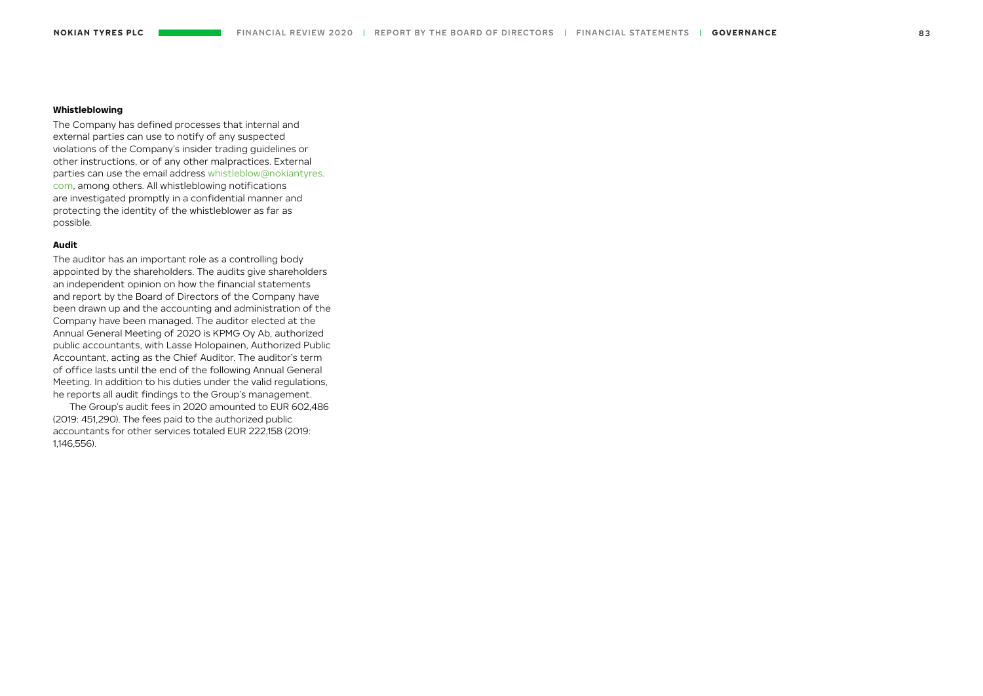# **Whistleblowing**

The Company has defined processes that internal and external parties can use to notify of any suspected violations of the Company's insider trading guidelines or other instructions, or of any other malpractices. External parties can use the email address [whistleblow@nokiantyres.](mailto:whistleblow%40nokiantyres.com?subject=) [com,](mailto:whistleblow%40nokiantyres.com?subject=) among others. All whistleblowing notifications are investigated promptly in a confidential manner and protecting the identity of the whistleblower as far as possible.

# **Audit**

The auditor has an important role as a controlling body appointed by the shareholders. The audits give shareholders an independent opinion on how the financial statements and report by the Board of Directors of the Company have been drawn up and the accounting and administration of the Company have been managed. The auditor elected at the Annual General Meeting of 2020 is KPMG Oy Ab, authorized public accountants, with Lasse Holopainen, Authorized Public Accountant, acting as the Chief Auditor. The auditor's term of office lasts until the end of the following Annual General Meeting. In addition to his duties under the valid regulations, he reports all audit findings to the Group's management.

The Group's audit fees in 2020 amounted to EUR 602,486 (2019: 451,290). The fees paid to the authorized public accountants for other services totaled EUR 222,158 (2019: 1,146,556).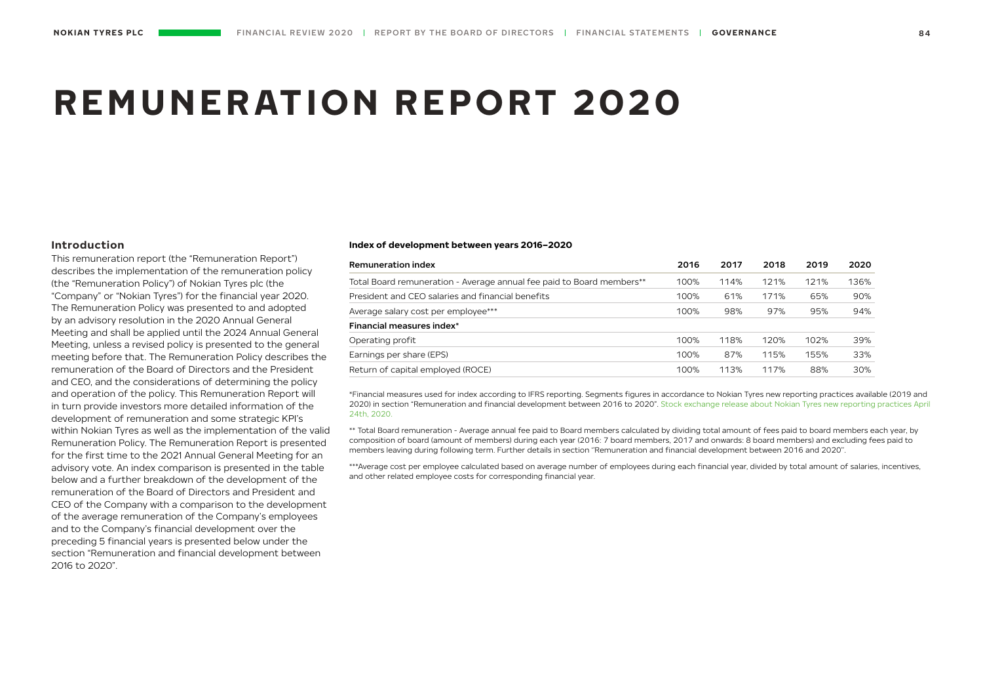# **REMUNERATION REPORT 2020**

# **Introduction**

This remuneration report (the "Remuneration Report") describes the implementation of the remuneration policy (the "Remuneration Policy") of Nokian Tyres plc (the "Company" or "Nokian Tyres") for the financial year 2020. The Remuneration Policy was presented to and adopted by an advisory resolution in the 2020 Annual General Meeting and shall be applied until the 2024 Annual General Meeting, unless a revised policy is presented to the general meeting before that. The Remuneration Policy describes the remuneration of the Board of Directors and the President and CEO, and the considerations of determining the policy and operation of the policy. This Remuneration Report will in turn provide investors more detailed information of the development of remuneration and some strategic KPI's within Nokian Tyres as well as the implementation of the valid Remuneration Policy. The Remuneration Report is presented for the first time to the 2021 Annual General Meeting for an advisory vote. An index comparison is presented in the table below and a further breakdown of the development of the remuneration of the Board of Directors and President and CEO of the Company with a comparison to the development of the average remuneration of the Company's employees and to the Company's financial development over the preceding 5 financial years is presented below under the section "Remuneration and financial development between 2016 to 2020".

#### **Index of development between years 2016–2020**

| <b>Remuneration index</b>                                             | 2016 | 2017 | 2018 | 2019 | 2020 |
|-----------------------------------------------------------------------|------|------|------|------|------|
| Total Board remuneration - Average annual fee paid to Board members** | 100% | 114% | 121% | 121% | 136% |
| President and CEO salaries and financial benefits                     | 100% | 61%  | 171% | 65%  | 90%  |
| Average salary cost per employee***                                   | 100% | 98%  | 97%  | 95%  | 94%  |
| Financial measures index*                                             |      |      |      |      |      |
| Operating profit                                                      | 100% | 118% | 120% | 102% | 39%  |
| Earnings per share (EPS)                                              | 100% | 87%  | 115% | 155% | 33%  |
| Return of capital employed (ROCE)                                     | 100% | 113% | 117% | 88%  | 30%  |

\*Financial measures used for index according to IFRS reporting. Segments figures in accordance to Nokian Tyres new reporting practices available (2019 and 2020) in section "Remuneration and financial development between 2016 to 2020". [Stock exchange release about Nokian Tyres new reporting practices April](https://www.nokiantyres.com/company/news-article/nokian-tyres-provides-restated-financial-statements-for-the-four-quarters-and-the-full-financial-yea/)  [24th, 2020.](https://www.nokiantyres.com/company/news-article/nokian-tyres-provides-restated-financial-statements-for-the-four-quarters-and-the-full-financial-yea/)

\*\* Total Board remuneration - Average annual fee paid to Board members calculated by dividing total amount of fees paid to board members each year, by composition of board (amount of members) during each year (2016: 7 board members, 2017 and onwards: 8 board members) and excluding fees paid to members leaving during following term. Further details in section ''Remuneration and financial development between 2016 and 2020''.

\*\*\*Average cost per employee calculated based on average number of employees during each financial year, divided by total amount of salaries, incentives, and other related employee costs for corresponding financial year.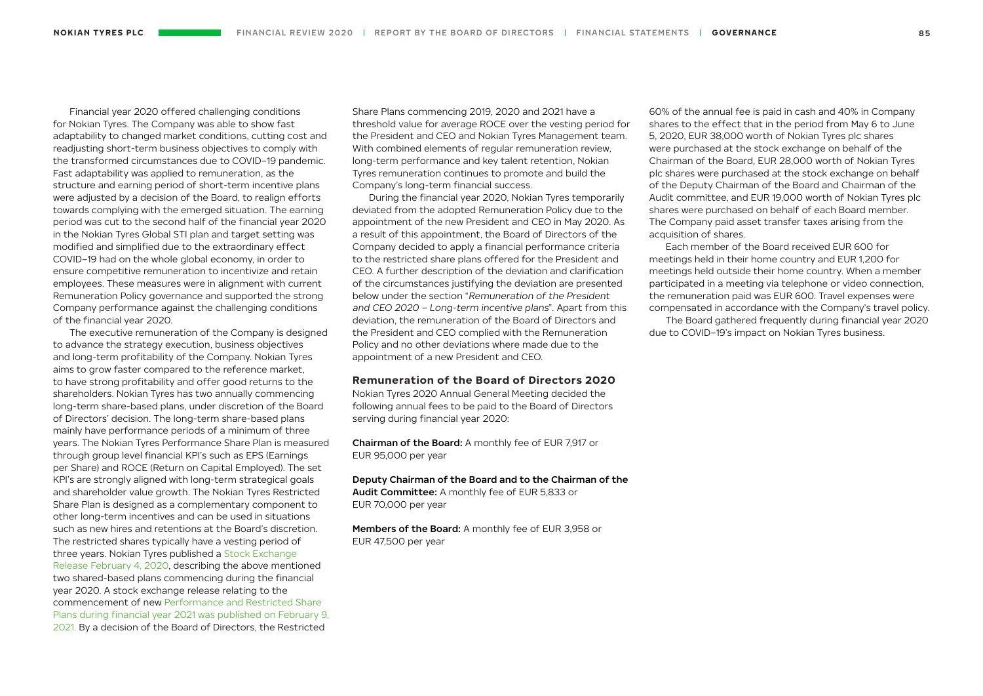Financial year 2020 offered challenging conditions for Nokian Tyres. The Company was able to show fast adaptability to changed market conditions, cutting cost and readjusting short-term business objectives to comply with the transformed circumstances due to COVID–19 pandemic. Fast adaptability was applied to remuneration, as the structure and earning period of short-term incentive plans were adjusted by a decision of the Board, to realign efforts towards complying with the emerged situation. The earning period was cut to the second half of the financial year 2020 in the Nokian Tyres Global STI plan and target setting was modified and simplified due to the extraordinary effect COVID–19 had on the whole global economy, in order to ensure competitive remuneration to incentivize and retain employees. These measures were in alignment with current Remuneration Policy governance and supported the strong Company performance against the challenging conditions of the financial year 2020.

The executive remuneration of the Company is designed to advance the strategy execution, business objectives and long-term profitability of the Company. Nokian Tyres aims to grow faster compared to the reference market, to have strong profitability and offer good returns to the shareholders. Nokian Tyres has two annually commencing long-term share-based plans, under discretion of the Board of Directors' decision. The long-term share-based plans mainly have performance periods of a minimum of three years. The Nokian Tyres Performance Share Plan is measured through group level financial KPI's such as EPS (Earnings per Share) and ROCE (Return on Capital Employed). The set KPI's are strongly aligned with long-term strategical goals and shareholder value growth. The Nokian Tyres Restricted Share Plan is designed as a complementary component to other long-term incentives and can be used in situations such as new hires and retentions at the Board's discretion. The restricted shares typically have a vesting period of three years. Nokian Tyres published a [Stock Exchange](https://www.nokiantyres.com/company/news-article/share-based-long-term-incentive-scheme-2020-2022-for-the-management-and-selected-key-employees-of-no/)  [Release February 4, 2020](https://www.nokiantyres.com/company/news-article/share-based-long-term-incentive-scheme-2020-2022-for-the-management-and-selected-key-employees-of-no/), describing the above mentioned two shared-based plans commencing during the financial year 2020. A stock exchange release relating to the commencement of new [Performance and Restricted Share](https://www.nokiantyres.com/company/news-article/share-based-long-term-incentive-scheme-2021-2023-for-the-management-and-selected-key-employees-of-nokian-tyres-plc/)  [Plans during financial year 2021 was published on February 9,](https://www.nokiantyres.com/company/news-article/share-based-long-term-incentive-scheme-2021-2023-for-the-management-and-selected-key-employees-of-nokian-tyres-plc/)  [2021.](https://www.nokiantyres.com/company/news-article/share-based-long-term-incentive-scheme-2021-2023-for-the-management-and-selected-key-employees-of-nokian-tyres-plc/) By a decision of the Board of Directors, the Restricted

Share Plans commencing 2019, 2020 and 2021 have a threshold value for average ROCE over the vesting period for the President and CEO and Nokian Tyres Management team. With combined elements of regular remuneration review. long-term performance and key talent retention, Nokian Tyres remuneration continues to promote and build the Company's long-term financial success.

During the financial year 2020, Nokian Tyres temporarily deviated from the adopted Remuneration Policy due to the appointment of the new President and CEO in May 2020. As a result of this appointment, the Board of Directors of the Company decided to apply a financial performance criteria to the restricted share plans offered for the President and CEO. A further description of the deviation and clarification of the circumstances justifying the deviation are presented below under the section "Remuneration of the President and CEO 2020 – Long-term incentive plans". Apart from this deviation, the remuneration of the Board of Directors and the President and CEO complied with the Remuneration Policy and no other deviations where made due to the appointment of a new President and CEO.

# **Remuneration of the Board of Directors 2020**

Nokian Tyres 2020 Annual General Meeting decided the following annual fees to be paid to the Board of Directors serving during financial year 2020:

Chairman of the Board: A monthly fee of EUR 7,917 or EUR 95,000 per year

Deputy Chairman of the Board and to the Chairman of the Audit Committee: A monthly fee of EUR 5,833 or EUR 70,000 per year

Members of the Board: A monthly fee of EUR 3,958 or EUR 47,500 per year

60% of the annual fee is paid in cash and 40% in Company shares to the effect that in the period from May 6 to June 5, 2020, EUR 38,000 worth of Nokian Tyres plc shares were purchased at the stock exchange on behalf of the Chairman of the Board, EUR 28,000 worth of Nokian Tyres plc shares were purchased at the stock exchange on behalf of the Deputy Chairman of the Board and Chairman of the Audit committee, and EUR 19,000 worth of Nokian Tyres plc shares were purchased on behalf of each Board member. The Company paid asset transfer taxes arising from the acquisition of shares.

Each member of the Board received EUR 600 for meetings held in their home country and FUR 1200 for meetings held outside their home country. When a member participated in a meeting via telephone or video connection, the remuneration paid was EUR 600. Travel expenses were compensated in accordance with the Company's travel policy.

The Board gathered frequently during financial year 2020 due to COVID–19's impact on Nokian Tyres business.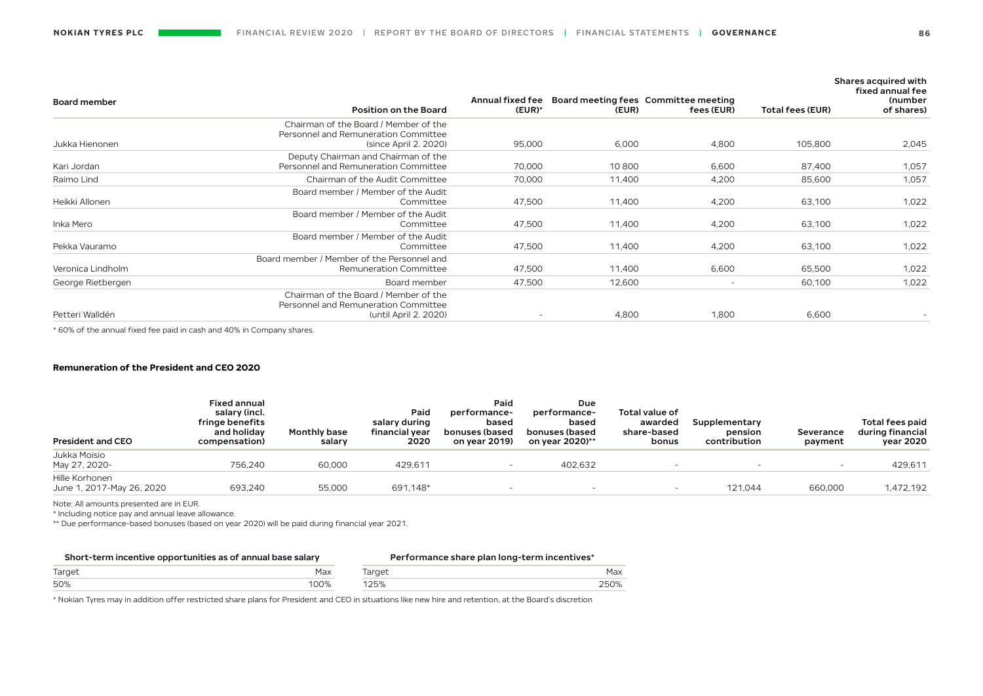| <b>Board member</b> | <b>Position on the Board</b>                                                                           | Annual fixed fee<br>$(EUR)*$ | (EUR)  | Board meeting fees Committee meeting<br>fees (EUR) | Total fees (EUR) | Shares acquired with<br>fixed annual fee<br>(number<br>of shares) |
|---------------------|--------------------------------------------------------------------------------------------------------|------------------------------|--------|----------------------------------------------------|------------------|-------------------------------------------------------------------|
| Jukka Hienonen      | Chairman of the Board / Member of the<br>Personnel and Remuneration Committee<br>(since April 2, 2020) | 95,000                       | 6,000  | 4,800                                              | 105,800          | 2,045                                                             |
| Kari Jordan         | Deputy Chairman and Chairman of the<br>Personnel and Remuneration Committee                            | 70,000                       | 10800  | 6,600                                              | 87,400           | 1,057                                                             |
| Raimo Lind          | Chairman of the Audit Committee                                                                        | 70,000                       | 11,400 | 4,200                                              | 85,600           | 1,057                                                             |
| Heikki Allonen      | Board member / Member of the Audit<br>Committee                                                        | 47,500                       | 11,400 | 4,200                                              | 63,100           | 1,022                                                             |
| Inka Mero           | Board member / Member of the Audit<br>Committee                                                        | 47,500                       | 11,400 | 4,200                                              | 63,100           | 1,022                                                             |
| Pekka Vauramo       | Board member / Member of the Audit<br>Committee                                                        | 47,500                       | 11,400 | 4,200                                              | 63,100           | 1,022                                                             |
| Veronica Lindholm   | Board member / Member of the Personnel and<br><b>Remuneration Committee</b>                            | 47,500                       | 11,400 | 6,600                                              | 65,500           | 1,022                                                             |
| George Rietbergen   | Board member                                                                                           | 47,500                       | 12,600 | $\overline{\phantom{a}}$                           | 60,100           | 1,022                                                             |
| Petteri Walldén     | Chairman of the Board / Member of the<br>Personnel and Remuneration Committee<br>(until April 2, 2020) |                              | 4,800  | 1,800                                              | 6,600            |                                                                   |

\* 60% of the annual fixed fee paid in cash and 40% in Company shares.

# **Remuneration of the President and CEO 2020**

| <b>President and CEO</b>                    | <b>Fixed annual</b><br>salary (incl.<br>fringe benefits<br>and holiday<br>compensation) | <b>Monthly base</b><br>salary | Paid<br>salary during<br>financial vear<br>2020 | Paid<br>performance-<br>based<br>bonuses (based<br>on vear 2019) | Due<br>performance-<br>based<br>bonuses (based<br>on vear 2020)** | Total value of<br>awarded<br>share-based<br>bonus | Supplementary<br>pension<br>contribution | Severance<br>payment | Total fees paid<br>during financial<br>vear 2020 |
|---------------------------------------------|-----------------------------------------------------------------------------------------|-------------------------------|-------------------------------------------------|------------------------------------------------------------------|-------------------------------------------------------------------|---------------------------------------------------|------------------------------------------|----------------------|--------------------------------------------------|
| Jukka Moisio<br>May 27, 2020-               | 756.240                                                                                 | 60,000                        | 429,611                                         |                                                                  | 402,632                                                           |                                                   |                                          |                      | 429.611                                          |
| Hille Korhonen<br>June 1, 2017-May 26, 2020 | 693.240                                                                                 | 55,000                        | 691,148*                                        |                                                                  |                                                                   |                                                   | 121.044                                  | 660,000              | 1,472,192                                        |
|                                             |                                                                                         |                               |                                                 |                                                                  |                                                                   |                                                   |                                          |                      |                                                  |

Note: All amounts presented are in EUR.

\* Including notice pay and annual leave allowance.

\*\* Due performance-based bonuses (based on year 2020) will be paid during financial year 2021.

| Short-term incentive opportunities as of annual base salary |      | Performance share plan long-term incentives* |      |  |
|-------------------------------------------------------------|------|----------------------------------------------|------|--|
| Target                                                      | Max  | Target                                       | Max  |  |
| 50%                                                         | 100% | 125%                                         | 250% |  |

\* Nokian Tyres may in addition offer restricted share plans for President and CEO in situations like new hire and retention, at the Board's discretion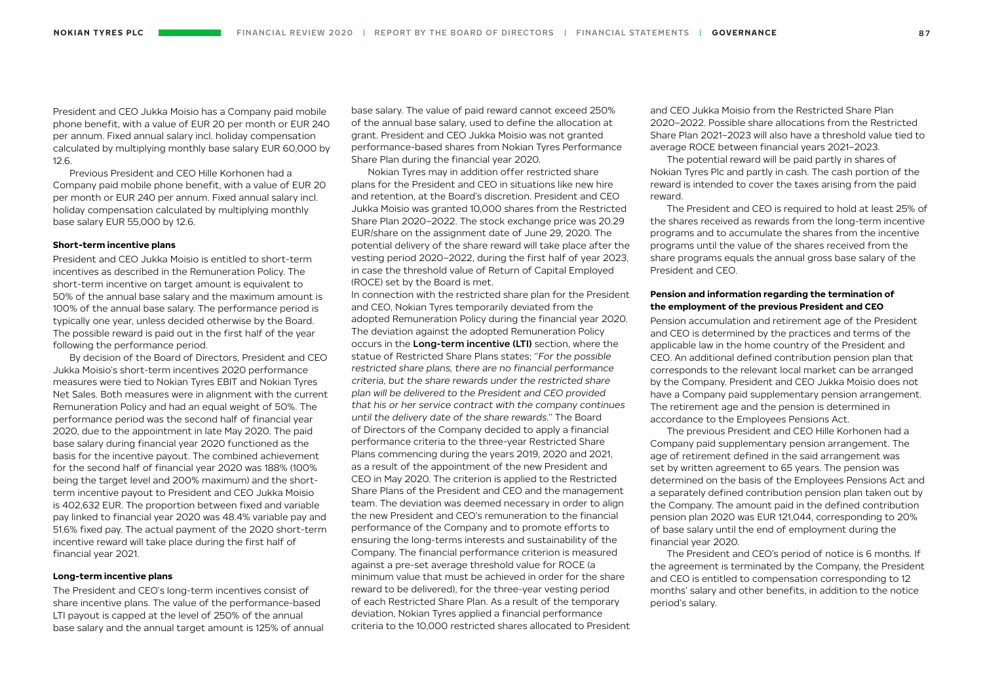President and CEO Jukka Moisio has a Company paid mobile phone benefit, with a value of EUR 20 per month or EUR 240 per annum. Fixed annual salary incl. holiday compensation calculated by multiplying monthly base salary EUR 60,000 by 12.6.

Previous President and CEO Hille Korhonen had a Company paid mobile phone benefit, with a value of EUR 20 per month or EUR 240 per annum. Fixed annual salary incl. holiday compensation calculated by multiplying monthly base salary EUR 55,000 by 12.6.

# **Short-term incentive plans**

President and CEO Jukka Moisio is entitled to short-term incentives as described in the Remuneration Policy. The short-term incentive on target amount is equivalent to 50% of the annual base salary and the maximum amount is 100% of the annual base salary. The performance period is typically one year, unless decided otherwise by the Board. The possible reward is paid out in the first half of the year following the performance period.

By decision of the Board of Directors, President and CEO Jukka Moisio's short-term incentives 2020 performance measures were tied to Nokian Tyres EBIT and Nokian Tyres Net Sales. Both measures were in alignment with the current Remuneration Policy and had an equal weight of 50%. The performance period was the second half of financial year 2020, due to the appointment in late May 2020. The paid base salary during financial year 2020 functioned as the basis for the incentive payout. The combined achievement for the second half of financial year 2020 was 188% (100% being the target level and 200% maximum) and the shortterm incentive payout to President and CEO Jukka Moisio is 402,632 EUR. The proportion between fixed and variable pay linked to financial year 2020 was 48.4% variable pay and 51.6% fixed pay. The actual payment of the 2020 short-term incentive reward will take place during the first half of financial year 2021.

# **Long-term incentive plans**

The President and CEO's long-term incentives consist of share incentive plans. The value of the performance-based LTI payout is capped at the level of 250% of the annual base salary and the annual target amount is 125% of annual base salary. The value of paid reward cannot exceed 250% of the annual base salary, used to define the allocation at grant. President and CEO Jukka Moisio was not granted performance-based shares from Nokian Tyres Performance Share Plan during the financial year 2020.

Nokian Tyres may in addition offer restricted share plans for the President and CEO in situations like new hire and retention, at the Board's discretion. President and CEO Jukka Moisio was granted 10,000 shares from the Restricted Share Plan 2020–2022. The stock exchange price was 20.29 EUR/share on the assignment date of June 29, 2020. The potential delivery of the share reward will take place after the vesting period 2020–2022, during the first half of year 2023, in case the threshold value of Return of Capital Employed (ROCE) set by the Board is met.

In connection with the restricted share plan for the President and CEO, Nokian Tyres temporarily deviated from the adopted Remuneration Policy during the financial year 2020. The deviation against the adopted Remuneration Policy occurs in the Long-term incentive (LTI) section, where the statue of Restricted Share Plans states; ''For the possible restricted share plans, there are no financial performance criteria, but the share rewards under the restricted share plan will be delivered to the President and CEO provided that his or her service contract with the company continues until the delivery date of the share rewards.'' The Board of Directors of the Company decided to apply a financial performance criteria to the three-year Restricted Share Plans commencing during the years 2019, 2020 and 2021, as a result of the appointment of the new President and CEO in May 2020. The criterion is applied to the Restricted Share Plans of the President and CEO and the management team. The deviation was deemed necessary in order to align the new President and CEO's remuneration to the financial performance of the Company and to promote efforts to ensuring the long-terms interests and sustainability of the Company. The financial performance criterion is measured against a pre-set average threshold value for ROCE (a minimum value that must be achieved in order for the share reward to be delivered), for the three-year vesting period of each Restricted Share Plan. As a result of the temporary deviation, Nokian Tyres applied a financial performance criteria to the 10,000 restricted shares allocated to President and CEO Jukka Moisio from the Restricted Share Plan 2020–2022. Possible share allocations from the Restricted Share Plan 2021–2023 will also have a threshold value tied to average ROCE between financial years 2021–2023.

The potential reward will be paid partly in shares of Nokian Tyres Plc and partly in cash. The cash portion of the reward is intended to cover the taxes arising from the paid reward.

The President and CEO is required to hold at least 25% of the shares received as rewards from the long-term incentive programs and to accumulate the shares from the incentive programs until the value of the shares received from the share programs equals the annual gross base salary of the President and CEO.

# **Pension and information regarding the termination of the employment of the previous President and CEO**

Pension accumulation and retirement age of the President and CEO is determined by the practices and terms of the applicable law in the home country of the President and CEO. An additional defined contribution pension plan that corresponds to the relevant local market can be arranged by the Company. President and CEO Jukka Moisio does not have a Company paid supplementary pension arrangement. The retirement age and the pension is determined in accordance to the Employees Pensions Act.

The previous President and CEO Hille Korhonen had a Company paid supplementary pension arrangement. The age of retirement defined in the said arrangement was set by written agreement to 65 years. The pension was determined on the basis of the Employees Pensions Act and a separately defined contribution pension plan taken out by the Company. The amount paid in the defined contribution pension plan 2020 was EUR 121,044, corresponding to 20% of base salary until the end of employment during the financial year 2020.

The President and CEO's period of notice is 6 months. If the agreement is terminated by the Company, the President and CEO is entitled to compensation corresponding to 12 months' salary and other benefits, in addition to the notice period's salary.